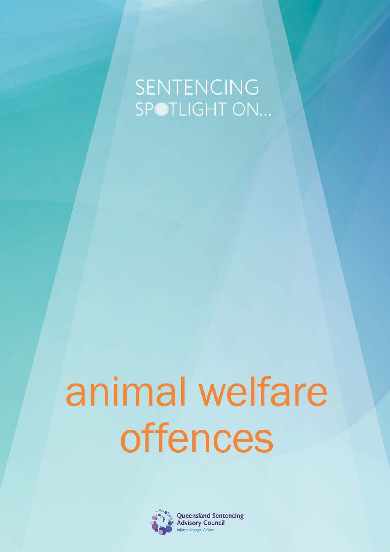# SENTENCING SPOTLIGHT ON...

# animal welfare offences

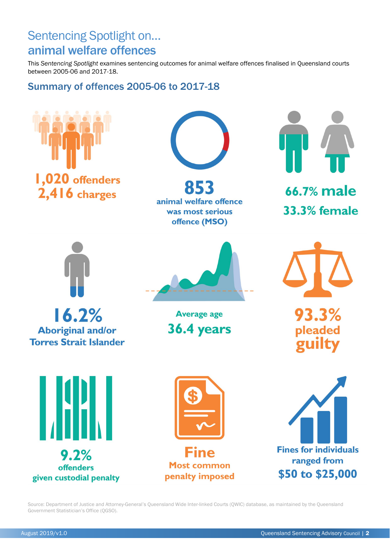### Sentencing Spotlight on… animal welfare offences

This *Sentencing Spotlight* examines sentencing outcomes for animal welfare offences finalised in Queensland courts between 2005-06 and 2017-18.

### Summary of offences 2005-06 to 2017-18



Source: Department of Justice and Attorney-General's Queensland Wide Inter-linked Courts (QWIC) database, as maintained by the Queensland Government Statistician's Office (QGSO).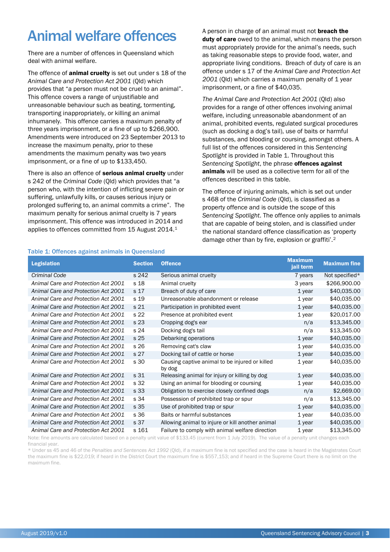# Animal welfare offences

There are a number of offences in Queensland which deal with animal welfare.

The offence of **animal cruelty** is set out under s 18 of the *Animal Care and Protection Act 2001* (Qld) which provides that "a person must not be cruel to an animal". This offence covers a range of unjustifiable and unreasonable behaviour such as beating, tormenting, transporting inappropriately, or killing an animal inhumanely. This offence carries a maximum penalty of three years imprisonment, or a fine of up to \$266,900. Amendments were introduced on 23 September 2013 to increase the maximum penalty, prior to these amendments the maximum penalty was two years imprisonment, or a fine of up to \$133,450.

There is also an offence of **serious animal cruelty** under s 242 of the *Criminal Code* (Qld) which provides that "a person who, with the intention of inflicting severe pain or suffering, unlawfully kills, or causes serious injury or prolonged suffering to, an animal commits a crime". The maximum penalty for serious animal cruelty is 7 years imprisonment. This offence was introduced in 2014 and applies to offences committed from 15 August 2014.[1](#page-3-0)

A person in charge of an animal must not **breach the** duty of care owed to the animal, which means the person must appropriately provide for the animal's needs, such as taking reasonable steps to provide food, water, and appropriate living conditions. Breach of duty of care is an offence under s 17 of the *Animal Care and Protection Act*  2001 (Qld) which carries a maximum penalty of 1 year imprisonment, or a fine of \$40,035.

*The Animal Care and Protection Act 2001* (Qld) also provides for a range of other offences involving animal welfare, including unreasonable abandonment of an animal, prohibited events, regulated surgical procedures (such as docking a dog's tail), use of baits or harmful substances, and blooding or coursing, amongst others. A full list of the offences considered in this *Sentencing Spotlight* is provided i[n Table 1.](#page-2-0) Throughout this *Sentencing Spotlight*, the phrase offences against animals will be used as a collective term for all of the offences described in this table.

The offence of injuring animals, which is set out under s 468 of the *Criminal Code* (Qld), is classified as a property offence and is outside the scope of this *Sentencing Spotlight*. The offence only applies to animals that are capable of being stolen, and is classified under the national standard offence classification as 'property damage other than by fire, explosion or graffiti'.[2](#page-3-1)

#### <span id="page-2-0"></span>Table 1: Offences against animals in Queensland

| <b>Legislation</b>                  | <b>Section</b>  | <b>Offence</b>                                           | <b>Maximum</b><br>jail term | <b>Maximum fine</b> |
|-------------------------------------|-----------------|----------------------------------------------------------|-----------------------------|---------------------|
| Criminal Code                       | s 242           | Serious animal cruelty                                   | 7 years                     | Not specified*      |
| Animal Care and Protection Act 2001 | s 18            | Animal cruelty                                           | 3 years                     | \$266,900.00        |
| Animal Care and Protection Act 2001 | s 17            | Breach of duty of care                                   | $1$ year                    | \$40,035.00         |
| Animal Care and Protection Act 2001 | s 19            | Unreasonable abandonment or release                      | $1$ year                    | \$40,035.00         |
| Animal Care and Protection Act 2001 | s <sub>21</sub> | Participation in prohibited event                        | 1 year                      | \$40,035.00         |
| Animal Care and Protection Act 2001 | s 22            | Presence at prohibited event                             | $1$ year                    | \$20,017.00         |
| Animal Care and Protection Act 2001 | s 23            | Cropping dog's ear                                       | n/a                         | \$13,345.00         |
| Animal Care and Protection Act 2001 | s 24            | Docking dog's tail                                       | n/a                         | \$13,345.00         |
| Animal Care and Protection Act 2001 | s 25            | Debarking operations                                     | $1$ year                    | \$40,035.00         |
| Animal Care and Protection Act 2001 | s 26            | Removing cat's claw                                      | $1$ year                    | \$40,035.00         |
| Animal Care and Protection Act 2001 | s <sub>27</sub> | Docking tail of cattle or horse                          | $1$ year                    | \$40,035.00         |
| Animal Care and Protection Act 2001 | s 30            | Causing captive animal to be injured or killed<br>by dog | $1$ year                    | \$40,035.00         |
| Animal Care and Protection Act 2001 | s 31            | Releasing animal for injury or killing by dog            | $1$ year                    | \$40,035.00         |
| Animal Care and Protection Act 2001 | s 32            | Using an animal for blooding or coursing                 | $1$ year                    | \$40,035.00         |
| Animal Care and Protection Act 2001 | s 33            | Obligation to exercise closely confined dogs             | n/a                         | \$2,669.00          |
| Animal Care and Protection Act 2001 | s 34            | Possession of prohibited trap or spur                    | n/a                         | \$13,345.00         |
| Animal Care and Protection Act 2001 | s 35            | Use of prohibited trap or spur                           | 1 year                      | \$40,035.00         |
| Animal Care and Protection Act 2001 | s 36            | Baits or harmful substances                              | $1$ year                    | \$40,035.00         |
| Animal Care and Protection Act 2001 | s 37            | Allowing animal to injure or kill another animal         | $1$ year                    | \$40,035.00         |
| Animal Care and Protection Act 2001 | s 161           | Failure to comply with animal welfare direction          | $1$ year                    | \$13,345.00         |

Note: fine amounts are calculated based on a penalty unit value of \$133.45 (current from 1 July 2019). The value of a penalty unit changes each financial year.

\* Under ss 45 and 46 of the *Penalties and Sentences Act 1992* (Qld), if a maximum fine is not specified and the case is heard in the Magistrates Court the maximum fine is \$22,019; if heard in the District Court the maximum fine is \$557,153; and if heard in the Supreme Court there is no limit on the maximum fine.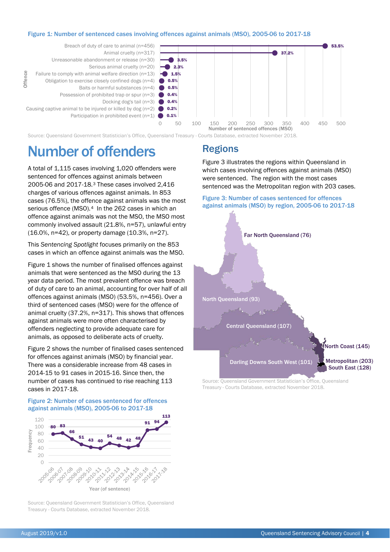#### <span id="page-3-2"></span>Figure 1: Number of sentenced cases involving offences against animals (MSO), 2005-06 to 2017-18

<span id="page-3-0"></span>

Source: Queensland Government Statistician's Office, Queensland Treasury - Courts Database, extracted November 2018.

## Number of offenders

<span id="page-3-1"></span>A total of 1,115 cases involving 1,020 offenders were sentenced for offences against animals between 2005-06 and 2017-18.[3](#page-3-5) These cases involved 2,416 charges of various offences against animals. In 853 cases (76.5%), the offence against animals was the most serious offence (MSO).<sup>4</sup> In the 262 cases in which an offence against animals was not the MSO, the MSO most commonly involved assault (21.8%, n=57), unlawful entry (16.0%, n=42), or property damage (10.3%, n=27).

<span id="page-3-5"></span>This *Sentencing Spotlight* focuses primarily on the 853 cases in which an offence against animals was the MSO.

<span id="page-3-6"></span>[Figure 1](#page-3-2) shows the number of finalised offences against animals that were sentenced as the MSO during the 13 year data period. The most prevalent offence was breach of duty of care to an animal, accounting for over half of all offences against animals (MSO) (53.5%, n=456). Over a third of sentenced cases (MSO) were for the offence of animal cruelty (37.2%, n=317). This shows that offences against animals were more often characterised by offenders neglecting to provide adequate care for animals, as opposed to deliberate acts of cruelty.

[Figure 2](#page-3-3) shows the number of finalised cases sentenced for offences against animals (MSO) by financial year. There was a considerable increase from 48 cases in 2014-15 to 91 cases in 2015-16. Since then, the number of cases has continued to rise reaching 113 cases in 2017-18.

#### <span id="page-3-3"></span>Figure 2: Number of cases sentenced for offences against animals (MSO), 2005-06 to 2017-18



Source: Queensland Government Statistician's Office, Queensland Treasury - Courts Database, extracted November 2018.

### Regions

[Figure 3](#page-3-4) illustrates the regions within Queensland in which cases involving offences against animals (MSO) were sentenced. The region with the most cases sentenced was the Metropolitan region with 203 cases.

#### <span id="page-3-4"></span>Figure 3: Number of cases sentenced for offences against animals (MSO) by region, 2005-06 to 2017-18



Source: Queensland Government Statistician's Office, Queensland Treasury - Courts Database, extracted November 2018.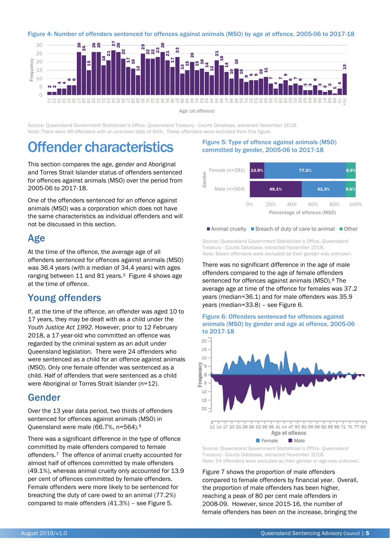<span id="page-4-0"></span>

Age (at offence)

Source: Queensland Government Statistician's Office, Queensland Treasury - Courts Database, extracted November 2018. Note: There were 48 offenders with an unknown date of birth. These offenders were excluded from this figure.

# Offender characteristics

This section compares the age, gender and Aboriginal and Torres Strait Islander status of offenders sentenced for offences against animals (MSO) over the period from 2005-06 to 2017-18.

One of the offenders sentenced for an offence against animals (MSO) was a corporation which does not have the same characteristics as individual offenders and will not be discussed in this section.

### Age

At the time of the offence, the average age of all offenders sentenced for offences against animals (MSO) was 36.4 years (with a median of 34.4 years) with ages ranging between 11 and 81 years.<sup>[5](#page-6-0)</sup> [Figure 4](#page-4-0) shows age at the time of offence.

### Young offenders

If, at the time of the offence, an offender was aged 10 to 17 years, they may be dealt with as a child under the *Youth Justice Act 1992*. However, prior to 12 February 2018, a 17-year-old who committed an offence was regarded by the criminal system as an adult under Queensland legislation. There were 24 offenders who were sentenced as a child for an offence against animals (MSO). Only one female offender was sentenced as a child. Half of offenders that were sentenced as a child were Aboriginal or Torres Strait Islander (n=12).

### Gender

Over the 13 year data period, two thirds of offenders sentenced for offences against animals (MSO) in Queensland were male (66.7%, n=564).[6](#page-6-1)

There was a significant difference in the type of offence committed by male offenders compared to female offenders.[7](#page-6-2) The offence of animal cruelty accounted for almost half of offences committed by male offenders (49.1%), whereas animal cruelty only accounted for 13.9 per cent of offences committed by female offenders. Female offenders were more likely to be sentenced for breaching the duty of care owed to an animal (77.2%) compared to male offenders (41.3%) – see [Figure 5.](#page-4-1)

#### <span id="page-4-1"></span>Figure 5: Type of offence against animals (MSO) committed by gender, 2005-06 to 2017-18



■Animal cruelty ■Breach of duty of care to animal ■Other

Source: Queensland Government Statistician's Office, Queensland Treasury - Courts Database, extracted November 2018. Note: Seven offenders were excluded as their gender was unknown.

There was no significant difference in the age of male offenders compared to the age of female offenders sentenced for offences against animals (MSO).<sup>[8](#page-6-3)</sup> The average age at time of the offence for females was 37.2 years (median=36.1) and for male offenders was 35.9 years (median=33.8) – see [Figure](#page-4-2) 6.

<span id="page-4-2"></span>



■ Female ■ Male

Source: Queensland Government Statistician's Office, Queensland Treasury - Courts Database, extracted November 2018. Note: 54 offenders were excluded as their gender or age was unknown.

[Figure 7](#page-5-0) shows the proportion of male offenders compared to female offenders by financial year. Overall, the proportion of male offenders has been higher, reaching a peak of 80 per cent male offenders in 2008-09. However, since 2015-16, the number of female offenders has been on the increase, bringing the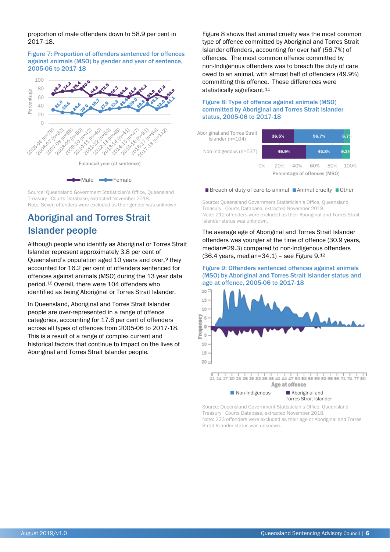proportion of male offenders down to 58.9 per cent in 2017-18.

#### <span id="page-5-0"></span>Figure 7: Proportion of offenders sentenced for offences against animals (MSO) by gender and year of sentence, 2005-06 to 2017-18



Source: Queensland Government Statistician's Office, Queensland Treasury - Courts Database, extracted November 2018. Note: Seven offenders were excluded as their gender was unknown.

### Aboriginal and Torres Strait Islander people

Although people who identify as Aboriginal or Torres Strait Islander represent approximately 3.8 per cent of Queensland's population aged 10 years and over,  $9$  they accounted for 16.2 per cent of offenders sentenced for offences against animals (MSO) during the 13 year data period.[10](#page-6-5) Overall, there were 104 offenders who identified as being Aboriginal or Torres Strait Islander.

In Queensland, Aboriginal and Torres Strait Islander people are over-represented in a range of offence categories, accounting for 17.6 per cent of offenders across all types of offences from 2005-06 to 2017-18. This is a result of a range of complex current and historical factors that continue to impact on the lives of Aboriginal and Torres Strait Islander people.

[Figure 8](#page-5-1) shows that animal cruelty was the most common type of offence committed by Aboriginal and Torres Strait Islander offenders, accounting for over half (56.7%) of offences. The most common offence committed by non-Indigenous offenders was to breach the duty of care owed to an animal, with almost half of offenders (49.9%) committing this offence. These differences were statistically significant.<sup>[11](#page-6-6)</sup>

<span id="page-5-1"></span>Figure 8: Type of offence against animals (MSO) committed by Aboriginal and Torres Strait Islander status, 2005-06 to 2017-18

| Aboriginal and Torres Strait<br>Islander ( $n=104$ ) | 36.5%                        |         |  |  | 56.7% |         | 6.7% |
|------------------------------------------------------|------------------------------|---------|--|--|-------|---------|------|
| Non-Indigenous (n=537)                               |                              | 49.9%   |  |  | 40.8% |         | 9.3% |
| O%                                                   |                              | 20% 40% |  |  |       | 60% 80% | 100% |
|                                                      | Percentage of offences (MSO) |         |  |  |       |         |      |

#### ■ Breach of duty of care to animal ■ Animal cruelty ■ Other

Source: Queensland Government Statistician's Office, Queensland Treasury - Courts Database, extracted November 2018. Note: 212 offenders were excluded as their Aboriginal and Torres Strait Islander status was unknown.

The average age of Aboriginal and Torres Strait Islander offenders was younger at the time of offence (30.9 years, median=29.3) compared to non-Indigenous offenders  $(36.4 \text{ years}, \text{median}=34.1)$  – see [Figure 9.](#page-5-2) $^{12}$  $^{12}$  $^{12}$ 

<span id="page-5-2"></span>Figure 9: Offenders sentenced offences against animals (MSO) by Aboriginal and Torres Strait Islander status and age at offence, 2005-06 to 2017-18



Torres Strait Islander Source: Queensland Government Statistician's Office, Queensland Treasury Courts Database, extracted November 2018.

■ Non-Indigenous ■ Aboriginal and

Note: 223 offenders were excluded as their age or Aboriginal and Torres Strait Islander status was unknown.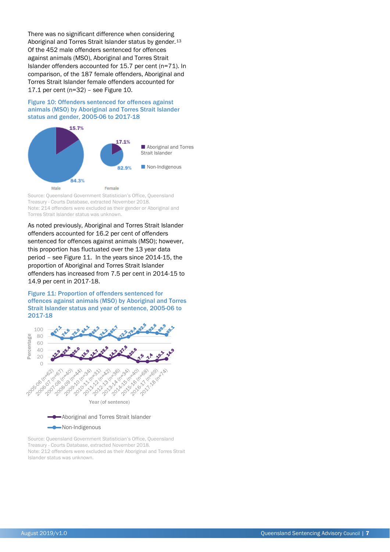There was no significant difference when considering Aboriginal and Torres Strait Islander status by gender.<sup>[13](#page-6-10)</sup> Of the 452 male offenders sentenced for offences against animals (MSO), Aboriginal and Torres Strait Islander offenders accounted for 15.7 per cent (n=71). In comparison, of the 187 female offenders, Aboriginal and Torres Strait Islander female offenders accounted for 17.1 per cent (n=32) – se[e Figure 10.](#page-6-8)

<span id="page-6-8"></span>Figure 10: Offenders sentenced for offences against animals (MSO) by Aboriginal and Torres Strait Islander status and gender, 2005-06 to 2017-18



Source: Queensland Government Statistician's Office, Queensland Treasury - Courts Database, extracted November 2018. Note: 214 offenders were excluded as their gender or Aboriginal and Torres Strait Islander status was unknown.

As noted previously, Aboriginal and Torres Strait Islander offenders accounted for 16.2 per cent of offenders sentenced for offences against animals (MSO); however, this proportion has fluctuated over the 13 year data period – se[e Figure 11.](#page-6-9) In the years since 2014-15, the proportion of Aboriginal and Torres Strait Islander offenders has increased from 7.5 per cent in 2014-15 to 14.9 per cent in 2017-18.

<span id="page-6-9"></span><span id="page-6-0"></span>Figure 11: Proportion of offenders sentenced for offences against animals (MSO) by Aboriginal and Torres Strait Islander status and year of sentence, 2005-06 to 2017-18

<span id="page-6-4"></span><span id="page-6-3"></span><span id="page-6-2"></span><span id="page-6-1"></span>

#### **Non-Indigenous**

<span id="page-6-10"></span><span id="page-6-7"></span><span id="page-6-6"></span><span id="page-6-5"></span>Source: Queensland Government Statistician's Office, Queensland Treasury - Courts Database, extracted November 2018. Note: 212 offenders were excluded as their Aboriginal and Torres Strait Islander status was unknown.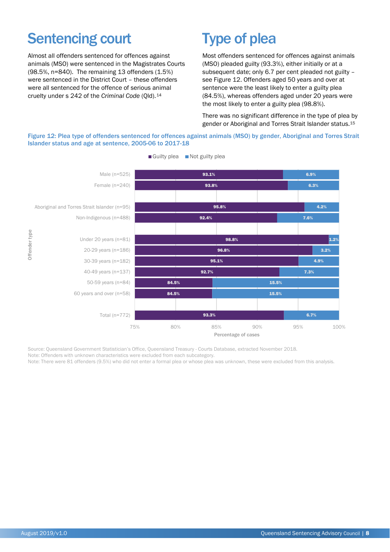# Sentencing court

Almost all offenders sentenced for offences against animals (MSO) were sentenced in the Magistrates Courts (98.5%, n=840). The remaining 13 offenders (1.5%) were sentenced in the District Court – these offenders were all sentenced for the offence of serious animal cruelty under s 242 of the *Criminal Code* (Qld).[14](#page-9-0)

# Type of plea

Most offenders sentenced for offences against animals (MSO) pleaded guilty (93.3%), either initially or at a subsequent date; only 6.7 per cent pleaded not guilty – see [Figure 12.](#page-7-0) Offenders aged 50 years and over at sentence were the least likely to enter a guilty plea (84.5%), whereas offenders aged under 20 years were the most likely to enter a guilty plea (98.8%).

There was no significant difference in the type of plea by gender or Aboriginal and Torres Strait Islander status.[15](#page-9-1)

<span id="page-7-0"></span>Figure 12: Plea type of offenders sentenced for offences against animals (MSO) by gender, Aboriginal and Torres Strait Islander status and age at sentence, 2005-06 to 2017-18



Guilty plea Not guilty plea

Source: Queensland Government Statistician's Office, Queensland Treasury - Courts Database, extracted November 2018.

Note: Offenders with unknown characteristics were excluded from each subcategory.

Note: There were 81 offenders (9.5%) who did not enter a formal plea or whose plea was unknown, these were excluded from this analysis.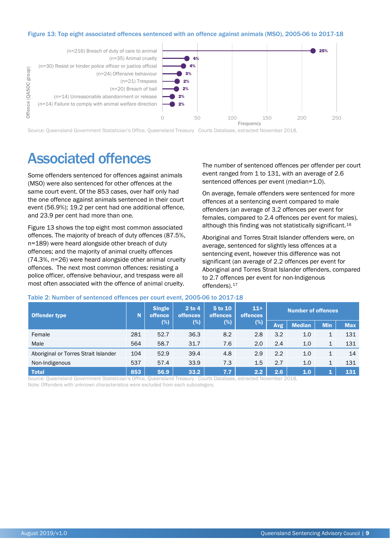#### <span id="page-8-0"></span>Figure 13: Top eight associated offences sentenced with an offence against animals (MSO), 2005-06 to 2017-18



Source: Queensland Government Statistician's Office, Queensland Treasury Courts Database, extracted November 2018.

# Associated offences

Some offenders sentenced for offences against animals (MSO) were also sentenced for other offences at the same court event. Of the 853 cases, over half only had the one offence against animals sentenced in their court event (56.9%); 19.2 per cent had one additional offence, and 23.9 per cent had more than one.

[Figure 13](#page-8-0) shows the top eight most common associated offences. The majority of breach of duty offences (87.5%, n=189) were heard alongside other breach of duty offences; and the majority of animal cruelty offences (74.3%, n=26) were heard alongside other animal cruelty offences. The next most common offences: resisting a police officer, offensive behaviour, and trespass were all most often associated with the offence of animal cruelty.

The number of sentenced offences per offender per court event ranged from 1 to 131, with an average of 2.6 sentenced offences per event (median=1.0).

On average, female offenders were sentenced for more offences at a sentencing event compared to male offenders (an average of 3.2 offences per event for females, compared to 2.4 offences per event for males), although this finding was not statistically significant.[16](#page-11-0)

Aboriginal and Torres Strait Islander offenders were, on average, sentenced for slightly less offences at a sentencing event, however this difference was not significant (an average of 2.2 offences per event for Aboriginal and Torres Strait Islander offenders, compared to 2.7 offences per event for non-Indigenous offenders).<sup>[17](#page-11-1)</sup>

|  |  |  |  | Table 2: Number of sentenced offences per court event, 2005-06 to 2017-18 |  |
|--|--|--|--|---------------------------------------------------------------------------|--|
|--|--|--|--|---------------------------------------------------------------------------|--|

| Offender type                        | N   | <b>Single</b><br>offence<br>(%) | $2$ to 4<br><b>offences</b><br>$(\%)$ | 5 to 10<br><b>offences</b><br>$(\%)$ |     |      |               |            |            |  |  | $11+$<br><b>offences</b> |  | <b>Number of offences</b> |  |  |
|--------------------------------------|-----|---------------------------------|---------------------------------------|--------------------------------------|-----|------|---------------|------------|------------|--|--|--------------------------|--|---------------------------|--|--|
|                                      |     |                                 |                                       |                                      | (%) | Avg. | <b>Median</b> | <b>Min</b> | <b>Max</b> |  |  |                          |  |                           |  |  |
| Female                               | 281 | 52.7                            | 36.3                                  | 8.2                                  | 2.8 | 3.2  | 1.0           | 1          | 131        |  |  |                          |  |                           |  |  |
| Male                                 | 564 | 58.7                            | 31.7                                  | 7.6                                  | 2.0 | 2.4  | 1.0           | 1          | 131        |  |  |                          |  |                           |  |  |
| Aboriginal or Torres Strait Islander | 104 | 52.9                            | 39.4                                  | 4.8                                  | 2.9 | 2.2  | 1.0           | 1          | 14         |  |  |                          |  |                           |  |  |
| Non-Indigenous                       | 537 | 57.4                            | 33.9                                  | 7.3                                  | 1.5 | 2.7  | 1.0           | 1          | 131        |  |  |                          |  |                           |  |  |
| <b>Total</b>                         | 853 | 56.9                            | 33.2                                  | 7.7                                  | 2.2 | 2.6  | 1.0           | 1          | 131        |  |  |                          |  |                           |  |  |

Source: Queensland Government Statistician's Office, Queensland Treasury - Courts Database, extracted November 2018.

Note: Offenders with unknown characteristics were excluded from each subcategory.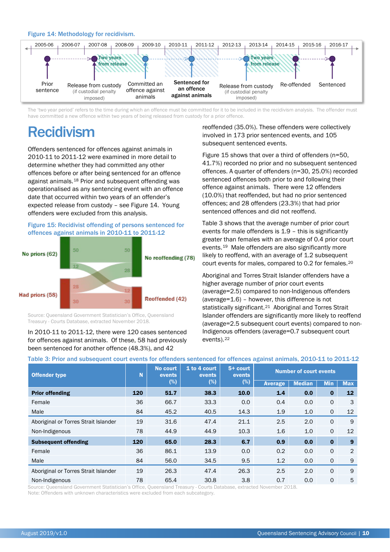#### <span id="page-9-2"></span>Figure 14: Methodology for recidivism.

<span id="page-9-0"></span>

<span id="page-9-1"></span>The 'two year period' refers to the time during which an offence must be committed for it to be included in the recidivism analysis. The offender must have committed a new offence within two years of being released from custody for a prior offence.

# Recidivism

Offenders sentenced for offences against animals in 2010-11 to 2011-12 were examined in more detail to determine whether they had committed any other offences before or after being sentenced for an offence against animals.[18](#page-13-0) Prior and subsequent offending was operationalised as any sentencing event with an offence date that occurred within two years of an offender's expected release from custody – see [Figure 14.](#page-9-2) Young offenders were excluded from this analysis.

#### <span id="page-9-3"></span>Figure 15: Recidivist offending of persons sentenced for offences against animals in 2010-11 to 2011-12



Source: Queensland Government Statistician's Office, Queensland Treasury - Courts Database, extracted November 2018.

In 2010-11 to 2011-12, there were 120 cases sentenced for offences against animals. Of these, 58 had previously been sentenced for another offence (48.3%), and 42

reoffended (35.0%). These offenders were collectively involved in 173 prior sentenced events, and 105 subsequent sentenced events.

[Figure 15](#page-9-3) shows that over a third of offenders (n=50, 41.7%) recorded no prior and no subsequent sentenced offences. A quarter of offenders (n=30, 25.0%) recorded sentenced offences both prior to and following their offence against animals. There were 12 offenders (10.0%) that reoffended, but had no prior sentenced offences; and 28 offenders (23.3%) that had prior sentenced offences and did not reoffend.

[Table 3](#page-9-4) shows that the average number of prior court events for male offenders is 1.9 – this is significantly greater than females with an average of 0.4 prior court events.[19](#page-13-1) Male offenders are also significantly more likely to reoffend, with an average of 1.2 subsequent court events for males, compared to 0.2 for females.[20](#page-13-2)

Aboriginal and Torres Strait Islander offenders have a higher average number of prior court events (average=2.5) compared to non-Indigenous offenders (average=1.6) – however, this difference is not statistically significant.<sup>21</sup> Aboriginal and Torres Strait Islander offenders are significantly more likely to reoffend (average=2.5 subsequent court events) compared to non-Indigenous offenders (average=0.7 subsequent court events).[22](#page-13-4)

#### <span id="page-9-4"></span>Table 3: Prior and subsequent court events for offenders sentenced for offences against animals, 2010-11 to 2011-12

| <b>Offender type</b>                 | N   | No court<br>events | 1 to 4 court<br>events | $5+$ court<br>events | <b>Number of court events</b> |               |              |                   |
|--------------------------------------|-----|--------------------|------------------------|----------------------|-------------------------------|---------------|--------------|-------------------|
|                                      |     | (%)                | $(\%)$                 | (%)                  | <b>Average</b>                | <b>Median</b> | <b>Min</b>   | <b>Max</b>        |
| <b>Prior offending</b>               | 120 | 51.7               | 38.3                   | 10.0                 | 1.4                           | 0.0           | $\bf{0}$     | $12 \overline{ }$ |
| Female                               | 36  | 66.7               | 33.3                   | 0.0                  | 0.4                           | 0.0           | $\mathsf{O}$ | 3                 |
| Male                                 | 84  | 45.2               | 40.5                   | 14.3                 | 1.9                           | 1.0           | $\mathsf{O}$ | $12 \overline{ }$ |
| Aboriginal or Torres Strait Islander | 19  | 31.6               | 47.4                   | 21.1                 | 2.5                           | 2.0           | $\Omega$     | 9                 |
| Non-Indigenous                       | 78  | 44.9               | 44.9                   | 10.3                 | 1.6                           | 1.0           | $\Omega$     | 12                |
| <b>Subsequent offending</b>          | 120 | 65.0               | 28.3                   | 6.7                  | 0.9                           | 0.0           | $\bf{0}$     | $\boldsymbol{9}$  |
| Female                               | 36  | 86.1               | 13.9                   | 0.0                  | 0.2                           | 0.0           | $\Omega$     | 2                 |
| Male                                 | 84  | 56.0               | 34.5                   | 9.5                  | 1.2                           | 0.0           | $\mathsf{O}$ | 9                 |
| Aboriginal or Torres Strait Islander | 19  | 26.3               | 47.4                   | 26.3                 | 2.5                           | 2.0           | $\Omega$     | 9                 |
| Non-Indigenous                       | 78  | 65.4               | 30.8                   | 3.8                  | 0.7                           | 0.0           | $\Omega$     | 5                 |

Source: Queensland Government Statistician's Office, Queensland Treasury - Courts Database, extracted November 2018.

Note: Offenders with unknown characteristics were excluded from each subcategory.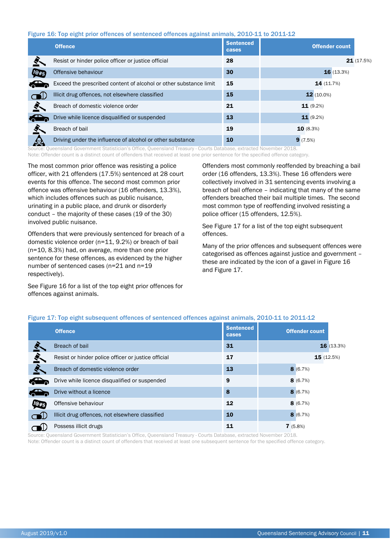#### <span id="page-10-0"></span>Figure 16: Top eight prior offences of sentenced offences against animals, 2010-11 to 2011-12

|            | <b>Offence</b>                                                    | <b>Sentenced</b><br>cases | <b>Offender count</b> |
|------------|-------------------------------------------------------------------|---------------------------|-----------------------|
|            | Resist or hinder police officer or justice official               | 28                        | 21(17.5%)             |
| <b>D#S</b> | Offensive behaviour                                               | 30                        | 16(13.3%)             |
|            | Exceed the prescribed content of alcohol or other substance limit | 15                        | 14 (11.7%)            |
|            | Illicit drug offences, not elsewhere classified                   | 15                        | $12(10.0\%)$          |
|            | Breach of domestic violence order                                 | 21                        | 11(9.2%)              |
|            | Drive while licence disqualified or suspended                     | 13                        | 11(9.2%)              |
|            | Breach of bail                                                    | 19                        | 10(8.3%)              |
|            | Driving under the influence of alcohol or other substance         | 10                        | 9(7.5%)               |

Source: Queensland Government Statistician's Office, Queensland Treasury - Courts Database, extracted November 2018. Note: Offender count is a distinct count of offenders that received at least one prior sentence for the specified offence category.

The most common prior offence was resisting a police officer, with 21 offenders (17.5%) sentenced at 28 court events for this offence. The second most common prior offence was offensive behaviour (16 offenders, 13.3%), which includes offences such as public nuisance, urinating in a public place, and drunk or disorderly conduct – the majority of these cases (19 of the 30) involved public nuisance.

Offenders that were previously sentenced for breach of a domestic violence order (n=11, 9.2%) or breach of bail (n=10, 8.3%) had, on average, more than one prior sentence for these offences, as evidenced by the higher number of sentenced cases (n=21 and n=19 respectively).

See [Figure 16](#page-10-0) for a list of the top eight prior offences for offences against animals.

Offenders most commonly reoffended by breaching a bail order (16 offenders, 13.3%). These 16 offenders were collectively involved in 31 sentencing events involving a breach of bail offence – indicating that many of the same offenders breached their bail multiple times. The second most common type of reoffending involved resisting a police officer (15 offenders, 12.5%).

See [Figure 17](#page-10-1) for a list of the top eight subsequent offences.

Many of the prior offences and subsequent offences were categorised as offences against justice and government – these are indicated by the icon of a gavel in [Figure 16](#page-10-0) an[d Figure 17.](#page-10-1)

|             | <b>Offence</b>                                      | <b>Sentenced</b><br>cases | <b>Offender count</b> |            |
|-------------|-----------------------------------------------------|---------------------------|-----------------------|------------|
|             | Breach of bail                                      | 31                        |                       | 16 (13.3%) |
| ≊≦          | Resist or hinder police officer or justice official | 17                        | 15(12.5%)             |            |
|             | Breach of domestic violence order                   | 13                        | 8(6.7%)               |            |
|             | Drive while licence disqualified or suspended       | 9                         | 8(6.7%)               |            |
|             | Drive without a licence                             | 8                         | 8(6.7%)               |            |
| <b>JO#S</b> | Offensive behaviour                                 | 12                        | 8(6.7%)               |            |
|             | Illicit drug offences, not elsewhere classified     | 10                        | 8(6.7%)               |            |
|             | Possess illicit drugs                               | 11                        | 7(5.8%)               |            |

#### <span id="page-10-1"></span>Figure 17: Top eight subsequent offences of sentenced offences against animals, 2010-11 to 2011-12

Source: Queensland Government Statistician's Office, Queensland Treasury - Courts Database, extracted November 2018. Note: Offender count is a distinct count of offenders that received at least one subsequent sentence for the specified offence category.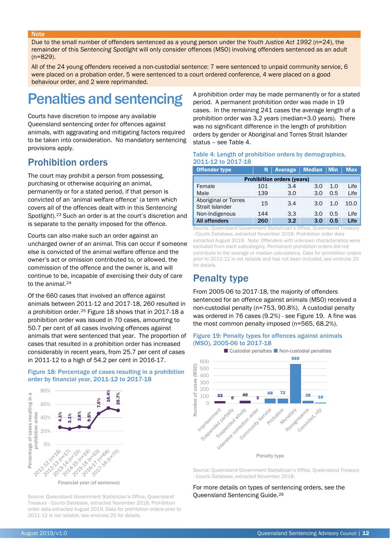#### **Note**

Due to the small number of offenders sentenced as a young person under the *Youth Justice Act 1992* (n=24), the remainder of this *Sentencing Spotlight* will only consider offences (MSO) involving offenders sentenced as an adult (n=829).

All of the 24 young offenders received a non-custodial sentence: 7 were sentenced to unpaid community service, 6 were placed on a probation order, 5 were sentenced to a court ordered conference, 4 were placed on a good behaviour order, and 2 were reprimanded.

# Penalties and sentencing

<span id="page-11-1"></span><span id="page-11-0"></span>Courts have discretion to impose any available Queensland sentencing order for offences against animals, with aggravating and mitigating factors required to be taken into consideration. No mandatory sentencing provisions apply.

### Prohibition orders

The court may prohibit a person from possessing, purchasing or otherwise acquiring an animal, permanently or for a stated period, if that person is convicted of an 'animal welfare offence' (a term which covers all of the offences dealt with in this *Sentencing Spotlight*).[23](#page-12-0) Such an order is at the court's discretion and is separate to the penalty imposed for the offence.

Courts can also make such an order against an uncharged owner of an animal. This can occur if someone else is convicted of the animal welfare offence and the owner's act or omission contributed to, or allowed, the commission of the offence and the owner is, and will continue to be, incapable of exercising their duty of care to the animal.[24](#page-12-1)

<span id="page-11-3"></span>Of the 660 cases that involved an offence against animals between 2011-12 and 2017-18, 260 resulted in a prohibition order.[25](#page-12-2) [Figure 18](#page-11-2) shows that in 2017-18 a prohibition order was issued in 70 cases, amounting to 50.7 per cent of all cases involving offences against animals that were sentenced that year. The proportion of cases that resulted in a prohibition order has increased considerably in recent years, from 25.7 per cent of cases in 2011-12 to a high of 54.2 per cent in 2016-17.

#### <span id="page-11-2"></span>Figure 18: Percentage of cases resulting in a prohibition order by financial year, 2011-12 to 2017-18



Source: Queensland Government Statistician's Office, Queensland Treasury - Courts Database, extracted November 2018. Prohibition order data extracted August 2019. Data for prohibition orders prior to 2011-12 is not reliable, see endnot[e 25](#page-11-3) for details.

A prohibition order may be made permanently or for a stated period. A permanent prohibition order was made in 19 cases. In the remaining 241 cases the average length of a prohibition order was 3.2 years (median=3.0 years). There was no significant difference in the length of prohibition orders by gender or Aboriginal and Torres Strait Islander status – see [Table 4.](#page-11-4)

#### <span id="page-11-4"></span>Table 4: Length of prohibition orders by demographics, 2011-12 to 2017-18

| <b>Offender type</b>                    |     | N   Average   Median   Min |     |     | <b>Max</b> |  |  |  |  |
|-----------------------------------------|-----|----------------------------|-----|-----|------------|--|--|--|--|
| <b>Prohibition orders (years)</b>       |     |                            |     |     |            |  |  |  |  |
| Female                                  | 101 | 3.4                        | 3.0 | 1.0 | Life       |  |  |  |  |
| Male                                    | 139 | 3.0                        | 3.0 | 0.5 | Life       |  |  |  |  |
| Aboriginal or Torres<br>Strait Islander | 15  | 3.4                        | 3.0 | 1.0 | 10.0       |  |  |  |  |
| Non-Indigenous                          | 144 | 3.3                        | 3.0 | 0.5 | Life       |  |  |  |  |
| <b>All offenders</b>                    | 260 | 3.2                        | 3.0 | 0.5 | Life       |  |  |  |  |

Source: Queensland Government Statistician's Office, Queensland Treasury - Courts Database, extracted November 2018. Prohibition order data extracted August 2019. Note: Offenders with unknown characteristics were excluded from each subcategory. Permanent prohibition orders did not contribute to the average or median calculations. Data for prohibition orders prior to 2011-12 is not reliable and has not been included, see endnot[e 25](#page-11-3) for details.

### Penalty type

From 2005-06 to 2017-18, the majority of offenders sentenced for an offence against animals (MSO) received a non-custodial penalty (n=753, 90.8%). A custodial penalty was ordered in 76 cases (9.2%) - see [Figure 19.](#page-11-5) A fine was the most common penalty imposed (n=565, 68.2%).

#### <span id="page-11-5"></span>Figure 19: Penalty types for offences against animals (MSO), 2005-06 to 2017-18



Source: Queensland Government Statistician's Office, Queensland Treasury - Courts Database, extracted November 2018.

For more details on types of sentencing orders, see the Queensland Sentencing Guide.[26](#page-12-3)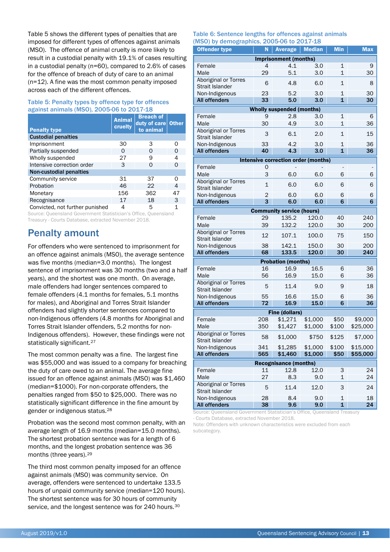[Table 5](#page-12-4) shows the different types of penalties that are imposed for different types of offences against animals (MSO). The offence of animal cruelty is more likely to result in a custodial penalty with 19.1% of cases resulting in a custodial penalty (n=60), compared to 2.6% of cases for the offence of breach of duty of care to an animal (n=12). A fine was the most common penalty imposed across each of the different offences.

#### <span id="page-12-4"></span>Table 5: Penalty types by offence type for offences against animals (MSO), 2005-06 to 2017-18

| <b>Penalty type</b>             | <b>Animal</b><br>cruelty | <b>Breach of</b><br>duty of care Other<br>to animal |    |
|---------------------------------|--------------------------|-----------------------------------------------------|----|
| <b>Custodial penalties</b>      |                          |                                                     |    |
| Imprisonment                    | 30                       | 3                                                   | Ω  |
| Partially suspended             | O                        | Ω                                                   | 0  |
| Wholly suspended                | 27                       | 9                                                   | 4  |
| Intensive correction order      | 3                        | ი                                                   | 0  |
| Non-custodial penalties         |                          |                                                     |    |
| Community service               | 31                       | 37                                                  | ი  |
| Probation                       | 46                       | 22                                                  | 4  |
| Monetary                        | 156                      | 362                                                 | 47 |
| Recognisance                    | 17                       | 18                                                  | 3  |
| Convicted, not further punished | 4                        | 5                                                   | 1  |

Source: Queensland Government Statistician's Office, Queensland Treasury - Courts Database, extracted November 2018.

### Penalty amount

<span id="page-12-0"></span>For offenders who were sentenced to imprisonment for an offence against animals (MSO), the average sentence was five months (median=3.0 months). The longest sentence of imprisonment was 30 months (two and a half years), and the shortest was one month. On average, male offenders had longer sentences compared to female offenders (4.1 months for females, 5.1 months for males), and Aboriginal and Torres Strait Islander offenders had slightly shorter sentences compared to non-Indigenous offenders (4.8 months for Aboriginal and Torres Strait Islander offenders, 5.2 months for non-Indigenous offenders). However, these findings were not statistically significant.<sup>[27](#page-12-5)</sup>

<span id="page-12-3"></span><span id="page-12-2"></span><span id="page-12-1"></span>The most common penalty was a fine. The largest fine was \$55,000 and was issued to a company for breaching the duty of care owed to an animal. The average fine issued for an offence against animals (MSO) was \$1,460 (median=\$1000). For non-corporate offenders, the penalties ranged from \$50 to \$25,000. There was no statistically significant difference in the fine amount by gender or indigenous status.[28](#page-12-6)

<span id="page-12-7"></span><span id="page-12-6"></span><span id="page-12-5"></span>Probation was the second most common penalty, with an average length of 16.9 months (median=15.0 months). The shortest probation sentence was for a length of 6 months, and the longest probation sentence was 36 months (three years).[29](#page-12-7)

<span id="page-12-8"></span>The third most common penalty imposed for an offence against animals (MSO) was community service. On average, offenders were sentenced to undertake 133.5 hours of unpaid community service (median=120 hours). The shortest sentence was for 30 hours of community service, and the longest sentence was for 240 hours.<sup>[30](#page-12-8)</sup>

#### Table 6: Sentence lengths for offences against animals<br>(MCO) by demographies 2005.06 to 2017.19 (MSO) by demographics, 2005-06 to 2017-18

| <b>MSO)</b> by demographics, 2005-06 to 2017-18<br><b>Offender type</b> | N              |                                     |               | <b>Min</b>              | <b>Max</b> |  |  |  |
|-------------------------------------------------------------------------|----------------|-------------------------------------|---------------|-------------------------|------------|--|--|--|
|                                                                         |                | Average                             | <b>Median</b> |                         |            |  |  |  |
|                                                                         |                | <b>Imprisonment (months)</b>        |               |                         |            |  |  |  |
| Female<br>Male                                                          | 4<br>29        | 4.1<br>5.1                          | 3.0<br>3.0    | 1<br>$\mathbf 1$        | 9<br>30    |  |  |  |
| <b>Aboriginal or Torres</b>                                             |                |                                     |               |                         |            |  |  |  |
| <b>Strait Islander</b>                                                  | 6              | 4.8                                 | 6.0           | $\mathbf{1}$            | 8          |  |  |  |
| Non-Indigenous                                                          | 23             | 5.2                                 | 3.0           | $\mathbf{1}$            | 30         |  |  |  |
| <b>All offenders</b>                                                    | 33             | 5.0                                 | 3.0           | $\overline{\mathbf{1}}$ | 30         |  |  |  |
|                                                                         |                | <b>Wholly suspended (months)</b>    |               |                         |            |  |  |  |
| Female                                                                  | 9              | 2.8                                 | 3.0           | $\mathbf{1}$            | 6          |  |  |  |
| Male                                                                    | 30             | 4.9                                 | 3.0           | $\mathbf 1$             | 36         |  |  |  |
| <b>Aboriginal or Torres</b>                                             | 3              | 6.1                                 | 2.0           | $\mathbf{1}$            | 15         |  |  |  |
| <b>Strait Islander</b>                                                  |                |                                     |               |                         |            |  |  |  |
| Non-Indigenous                                                          | 33             | 4.2                                 | 3.0           | 1                       | 36         |  |  |  |
| <b>All offenders</b>                                                    | 40             | 4.3                                 | 3.0           | $\mathbf{1}$            | 36         |  |  |  |
|                                                                         |                | Intensive correction order (months) |               |                         |            |  |  |  |
| Female                                                                  | 0              |                                     |               |                         |            |  |  |  |
| Male                                                                    | 3              | 6.0                                 | 6.0           | 6                       | 6          |  |  |  |
| <b>Aboriginal or Torres</b><br><b>Strait Islander</b>                   | $\mathbf{1}$   | 6.0                                 | 6.0           | 6                       | 6          |  |  |  |
| Non-Indigenous                                                          | $\overline{2}$ | 6.0                                 | 6.0           | 6                       | 6          |  |  |  |
| <b>All offenders</b>                                                    | 3              | 6.0                                 | 6.0           | 6                       | 6          |  |  |  |
| <b>Community service (hours)</b>                                        |                |                                     |               |                         |            |  |  |  |
| Female                                                                  | 29             | 135.2                               | 120.0         | 40                      | 240        |  |  |  |
| Male                                                                    | 39             | 132.2                               | 120.0         | 30                      | 200        |  |  |  |
| <b>Aboriginal or Torres</b><br><b>Strait Islander</b>                   | 12             | 107.1                               | 100.0         | 75                      | 150        |  |  |  |
| Non-Indigenous                                                          | 38             | 142.1                               | 150.0         | 30                      | 200        |  |  |  |
| <b>All offenders</b>                                                    | 68             | 133.5                               | 120.0         | 30                      | 240        |  |  |  |
|                                                                         |                | <b>Probation (months)</b>           |               |                         |            |  |  |  |
| Female                                                                  | 16             | 16.9                                | 16.5          | 6                       | 36         |  |  |  |
| Male                                                                    | 56             | 16.9                                | 15.0          | 6                       | 36         |  |  |  |
| <b>Aboriginal or Torres</b>                                             | 5              | 11.4                                | 9.0           | 9                       | 18         |  |  |  |
| <b>Strait Islander</b><br>Non-Indigenous                                | 55             | 16.6                                | 15.0          | 6                       | 36         |  |  |  |
| <b>All offenders</b>                                                    | 72             | 16.9                                | 15.0          | 6                       | 36         |  |  |  |
|                                                                         |                |                                     |               |                         |            |  |  |  |
| Female                                                                  | 208            | <b>Fine (dollars)</b><br>\$1,271    | \$1,000       | \$50                    | \$9,000    |  |  |  |
| Male                                                                    | 350            | \$1,427                             | \$1,000       | \$100                   | \$25,000   |  |  |  |
| Aboriginal or Torres                                                    |                |                                     |               |                         |            |  |  |  |
| Strait Islander                                                         | 58             | \$1,000                             | \$750         | \$125                   | \$7,000    |  |  |  |
| Non-Indigenous                                                          | 341            | \$1,285                             | \$1,000       | \$100                   | \$15,000   |  |  |  |
| <b>All offenders</b>                                                    | 565            | \$1,460                             | \$1,000       | \$50                    | \$55,000   |  |  |  |
|                                                                         |                | <b>Recognisance (months)</b>        |               |                         |            |  |  |  |
| Female                                                                  | 11             | 12.8                                | 12.0          | 3                       | 24         |  |  |  |
| Male<br><b>Aboriginal or Torres</b>                                     | 27             | 8.3                                 | 9.0           | $\mathbf{1}$            | 24         |  |  |  |
| Strait Islander                                                         | 5              | 11.4                                | 12.0          | 3                       | 24         |  |  |  |
| Non-Indigenous                                                          | 28             | 8.4                                 | 9.0           | 1                       | 18         |  |  |  |
| <b>All offenders</b>                                                    | 38             | 9.6                                 | 9.0           | 1                       | 24         |  |  |  |

Source: Queensland Government Statistician's Office, Queensland Treasury

- Courts Database, extracted November 2018.

Note: Offenders with unknown characteristics were excluded from each subcategory.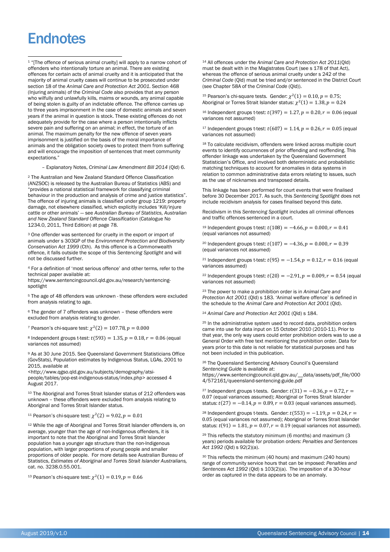# **Endnotes**

j

<sup>1</sup> "[The offence of serious animal cruelty] will apply to a narrow cohort of offenders who intentionally torture an animal. There are existing offences for certain acts of animal cruelty and it is anticipated that the majority of animal cruelty cases will continue to be prosecuted under section 18 of the *Animal Care and Protection Act 2001*. Section 468 (Injuring animals) of the *Criminal Code* also provides that any person who wilfully and unlawfully kills, maims or wounds, any animal capable of being stolen is guilty of an indictable offence. The offence carries up to three years imprisonment in the case of domestic animals and seven years if the animal in question is stock. These existing offences do not adequately provide for the case where a person intentionally inflicts severe pain and suffering on an animal; in effect, the torture of an animal. The maximum penalty for the new offence of seven years imprisonment is justified on the basis of the moral importance of animals and the obligation society owes to protect them from suffering and will encourage the imposition of sentences that meet community expectations."

– Explanatory Notes, *Criminal Law Amendment Bill 2014* (Qld) 6.

<span id="page-13-0"></span><sup>2</sup> The Australian and New Zealand Standard Offence Classification (ANZSOC) is released by the Australian Bureau of Statistics (ABS) and "provides a national statistical framework for classifying criminal behaviour in the production and analysis of crime and justice statistics". The offence of injuring animals is classified under group 1219: property damage, not elsewhere classified, which explicitly includes 'Kill/injure cattle or other animals' — see *Australian Bureau of Statistics, Australian and New Zealand Standard Offence Classification* (Catalogue No 1234.0, 2011, Third Edition) at page 78.

<span id="page-13-2"></span><span id="page-13-1"></span><sup>3</sup> One offender was sentenced for cruelty in the export or import of animals under s 303GP of the *Environment Protection and Biodiversity Conservation Act 1999* (Cth). As this offence is a Commonwealth offence, it falls outside the scope of this *Sentencing Spotlight* and will not be discussed further.

<span id="page-13-4"></span><span id="page-13-3"></span><sup>4</sup> For a definition of 'most serious offence' and other terms, refer to the technical paper available at: https://www.sentencingcouncil.qld.gov.au/research/sentencingspotlight

<sup>5</sup> The age of 48 offenders was unknown - these offenders were excluded from analysis relating to age.

<sup>6</sup> The gender of 7 offenders was unknown – these offenders were excluded from analysis relating to gender.

<sup>7</sup> Pearson's chi-square test:  $\chi^2(2) = 107.78$ ,  $p = 0.000$ 

<sup>8</sup> Independent groups t-test:  $t(593) = 1.35, p = 0.18, r = 0.06$  (equal variances not assumed)

<sup>9</sup> As at 30 June 2015. See Queensland Government Statisticians Office (GovStats), Population estimates by Indigenous Status, LGAs, 2001 to 2015, available at

<http://www.qgso.qld.gov.au/subjects/demography/atsipeople/tables/pop-est-indigenous-status/index.php> accessed 4 August 2017.

<sup>10</sup> The Aboriginal and Torres Strait Islander status of 212 offenders was unknown – these offenders were excluded from analysis relating to Aboriginal and Torres Strait Islander status.

<sup>11</sup> Pearson's chi-square test:  $\chi^2(2) = 9.02, p = 0.01$ 

<sup>12</sup> While the age of Aboriginal and Torres Strait Islander offenders is, on average, younger than the age of non-Indigenous offenders, it is important to note that the Aboriginal and Torres Strait Islander population has a younger age structure than the non-Indigenous population, with larger proportions of young people and smaller proportions of older people. For more details see Australian Bureau of Statistics, *Estimates of Aboriginal and Torres Strait Islander Australians,*  cat. no. 3238.0.55.001.

<sup>13</sup> Pearson's chi-square test:  $\chi^2(1) = 0.19, p = 0.66$ 

<sup>14</sup> All offences under the *Animal Care and Protection Act 2011*(Qld) must be dealt with in the Magistrates Court (see s 178 of that Act), whereas the offence of serious animal cruelty under s 242 of the *Criminal Code* (Qld) must be tried and/or sentenced in the District Court (see Chapter 58A of the *Criminal Code* (Qld)).

<sup>15</sup> Pearson's chi-square tests. Gender:  $\chi^2(1) = 0.10$ ,  $p = 0.75$ ; Aboriginal or Torres Strait Islander status:  $\chi^2(1) = 1.38$ ,  $p = 0.24$ 

<sup>16</sup> Independent groups t-test:  $t(397) = 1.27, p = 0.20, r = 0.06$  (equal variances not assumed)

<sup>17</sup> Independent groups t-test:  $t(607) = 1.14$ ,  $p = 0.26$ ,  $r = 0.05$  (equal variances not assumed)

<sup>18</sup> To calculate recidivism, offenders were linked across multiple court events to identify occurrences of prior offending and reoffending. This offender linkage was undertaken by the Queensland Government Statistician's Office, and involved both deterministic and probabilistic matching techniques to account for anomalies in data systems in relation to common administrative data errors relating to issues, such as the use of nicknames and transposed details.

This linkage has been performed for court events that were finalised before 30 December 2017. As such, this *Sentencing Spotlight* does not include recidivism analysis for cases finalised beyond this date.

Recidivism in this *Sentencing Spotlight* includes all criminal offences and traffic offences sentenced in a court.

<sup>19</sup> Independent groups t-test:  $t(108) = -4.66$ ,  $p = 0.000$ ,  $r = 0.41$ (equal variances not assumed)

<sup>20</sup> Independent groups t-test:  $t(107) = -4.36$ ,  $p = 0.000$ ,  $r = 0.39$ (equal variances not assumed)

<sup>21</sup> Independent groups t-test:  $t(95) = -1.54$ ,  $p = 0.12$ ,  $r = 0.16$  (equal variances assumed)

<sup>22</sup> Independent groups t-test:  $t(20) = -2.91$ ,  $p = 0.009$ ,  $r = 0.54$  (equal variances not assumed)

<sup>23</sup> The power to make a prohibition order is in *Animal Care and Protection Act 2001* (Qld) s 183. 'Animal welfare offence' is defined in the schedule to the *Animal Care and Protection Act 2001* (Qld).

<sup>24</sup> *Animal Care and Protection Act 2001* (Qld) s 184.

25 In the administrative system used to record data, prohibition orders came into use for data input on 15 October 2010 (2010-11). Prior to that year, the only way users could enter prohibition orders was to use a General Order with free text mentioning the prohibition order. Data for years prior to this date is not reliable for statistical purposes and has not been included in this publication.

<sup>26</sup> The Queensland Sentencing Advisory Council's Queensland *Sentencing Guide* is available at: https://www.sentencingcouncil.qld.gov.au/\_\_data/assets/pdf\_file/000

4/572161/queensland-sentencing-guide.pdf

<sup>27</sup> Independent groups t-tests. Gender:  $t(31) = -0.36, p = 0.72, r =$ 0.07 (equal variances assumed); Aboriginal or Torres Strait Islander status:  $t(27) = -0.14$ ,  $p = 0.89$ ,  $r = 0.03$  (equal variances assumed).

<sup>28</sup> Independent groups t-tests. Gender:  $t(553) = -1.19$ ,  $p = 0.24$ ,  $r =$ 0.05 (equal variances not assumed); Aboriginal or Torres Strait Islander status:  $t(91) = 1.81$ ,  $p = 0.07$ ,  $r = 0.19$  (equal variances not assumed).

<sup>29</sup> This reflects the statutory minimum (6 months) and maximum (3 years) periods available for probation orders: *Penalties and Sentences Act 1992* (Qld) s 92(2)(a).

<sup>30</sup> This reflects the minimum (40 hours) and maximum (240 hours) range of community service hours that can be imposed: *Penalties and Sentences Act 1992* (Qld) s 103(2)(a). The imposition of a 30-hour order as captured in the data appears to be an anomaly.